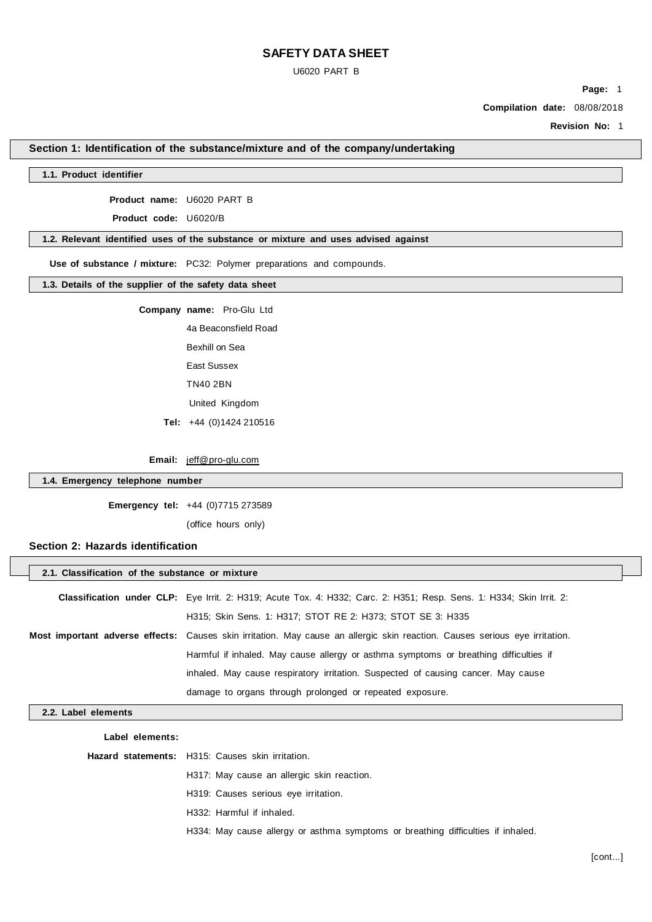U6020 PART B

**Page:** 1

**Compilation date:** 08/08/2018

**Revision No:** 1

## **Section 1: Identification of the substance/mixture and of the company/undertaking**

### **1.1. Product identifier**

**Product name:** U6020 PART B

**Product code:** U6020/B

#### **1.2. Relevant identified uses of the substance or mixture and uses advised against**

**Use of substance / mixture:** PC32: Polymer preparations and compounds.

#### **1.3. Details of the supplier of the safety data sheet**

**Company name:** Pro-Glu Ltd

4a Beaconsfield Road Bexhill on Sea East Sussex TN40 2BN United Kingdom

**Tel:** +44 (0)1424 210516

**Email:** jeff@pro-glu.com

### **1.4. Emergency telephone number**

**Emergency tel:** +44 (0)7715 273589

(office hours only)

## **Section 2: Hazards identification**

|                     | 2.1. Classification of the substance or mixture                                                                             |  |  |  |
|---------------------|-----------------------------------------------------------------------------------------------------------------------------|--|--|--|
|                     | <b>Classification under CLP:</b> Eye Irrit. 2: H319; Acute Tox. 4: H332; Carc. 2: H351; Resp. Sens. 1: H334; Skin Irrit. 2: |  |  |  |
|                     | H315; Skin Sens. 1: H317; STOT RE 2: H373; STOT SE 3: H335                                                                  |  |  |  |
|                     | Most important adverse effects: Causes skin irritation. May cause an allergic skin reaction. Causes serious eye irritation. |  |  |  |
|                     | Harmful if inhaled. May cause allergy or asthma symptoms or breathing difficulties if                                       |  |  |  |
|                     | inhaled. May cause respiratory irritation. Suspected of causing cancer. May cause                                           |  |  |  |
|                     | damage to organs through prolonged or repeated exposure.                                                                    |  |  |  |
| 2.2. Label elements |                                                                                                                             |  |  |  |
| Label elements:     |                                                                                                                             |  |  |  |
|                     | <b>Hazard statements:</b> H315: Causes skin irritation.                                                                     |  |  |  |
|                     | H317: May cause an allergic skin reaction.                                                                                  |  |  |  |
|                     | H319: Causes serious eye irritation.                                                                                        |  |  |  |

H332: Harmful if inhaled.

H334: May cause allergy or asthma symptoms or breathing difficulties if inhaled.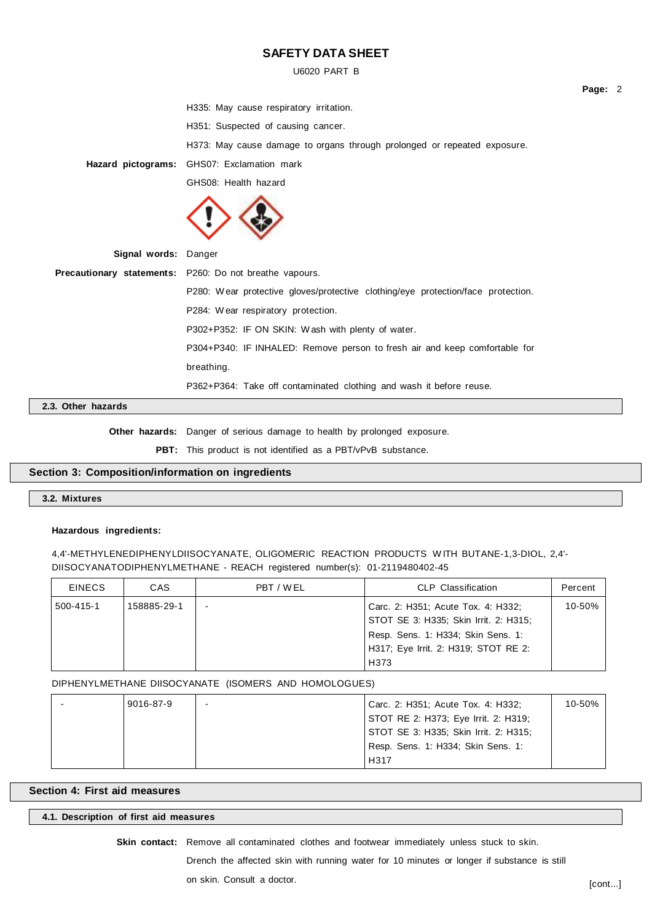U6020 PART B

| H335: May cause respiratory irritation.<br>H351: Suspected of causing cancer.<br>H373: May cause damage to organs through prolonged or repeated exposure.<br>GHS07: Exclamation mark<br>Hazard pictograms:<br>GHS08: Health hazard<br>Signal words: Danger<br><b>Precautionary statements:</b> P260: Do not breathe vapours.<br>P280: Wear protective gloves/protective clothing/eye protection/face protection.<br>P284: Wear respiratory protection.<br>P302+P352: IF ON SKIN: Wash with plenty of water.<br>P304+P340: IF INHALED: Remove person to fresh air and keep comfortable for<br>breathing.<br>P362+P364: Take off contaminated clothing and wash it before reuse. |  | Page: 2 |  |
|--------------------------------------------------------------------------------------------------------------------------------------------------------------------------------------------------------------------------------------------------------------------------------------------------------------------------------------------------------------------------------------------------------------------------------------------------------------------------------------------------------------------------------------------------------------------------------------------------------------------------------------------------------------------------------|--|---------|--|
|                                                                                                                                                                                                                                                                                                                                                                                                                                                                                                                                                                                                                                                                                |  |         |  |
|                                                                                                                                                                                                                                                                                                                                                                                                                                                                                                                                                                                                                                                                                |  |         |  |
|                                                                                                                                                                                                                                                                                                                                                                                                                                                                                                                                                                                                                                                                                |  |         |  |
|                                                                                                                                                                                                                                                                                                                                                                                                                                                                                                                                                                                                                                                                                |  |         |  |
|                                                                                                                                                                                                                                                                                                                                                                                                                                                                                                                                                                                                                                                                                |  |         |  |
|                                                                                                                                                                                                                                                                                                                                                                                                                                                                                                                                                                                                                                                                                |  |         |  |
|                                                                                                                                                                                                                                                                                                                                                                                                                                                                                                                                                                                                                                                                                |  |         |  |
|                                                                                                                                                                                                                                                                                                                                                                                                                                                                                                                                                                                                                                                                                |  |         |  |
|                                                                                                                                                                                                                                                                                                                                                                                                                                                                                                                                                                                                                                                                                |  |         |  |
|                                                                                                                                                                                                                                                                                                                                                                                                                                                                                                                                                                                                                                                                                |  |         |  |
|                                                                                                                                                                                                                                                                                                                                                                                                                                                                                                                                                                                                                                                                                |  |         |  |
|                                                                                                                                                                                                                                                                                                                                                                                                                                                                                                                                                                                                                                                                                |  |         |  |
|                                                                                                                                                                                                                                                                                                                                                                                                                                                                                                                                                                                                                                                                                |  |         |  |
|                                                                                                                                                                                                                                                                                                                                                                                                                                                                                                                                                                                                                                                                                |  |         |  |

## **2.3. Other hazards**

**Other hazards:** Danger of serious damage to health by prolonged exposure.

**PBT:** This product is not identified as a PBT/vPvB substance.

## **Section 3: Composition/information on ingredients**

## **3.2. Mixtures**

### **Hazardous ingredients:**

4,4'-METHYLENEDIPHENYLDIISOCYANATE, OLIGOMERIC REACTION PRODUCTS W ITH BUTANE-1,3-DIOL, 2,4'- DIISOCYANATODIPHENYLMETHANE - REACH registered number(s): 01-2119480402-45

| <b>EINECS</b> | CAS         | PBT / WEL | CLP Classification                    | Percent    |
|---------------|-------------|-----------|---------------------------------------|------------|
| 500-415-1     | 158885-29-1 |           | Carc. 2: H351; Acute Tox. 4: H332;    | $10 - 50%$ |
|               |             |           | STOT SE 3: H335; Skin Irrit. 2: H315; |            |
|               |             |           | Resp. Sens. 1: H334; Skin Sens. 1:    |            |
|               |             |           | H317; Eye Irrit. 2: H319; STOT RE 2:  |            |
|               |             |           | H373                                  |            |

DIPHENYLMETHANE DIISOCYANATE (ISOMERS AND HOMOLOGUES)

|  | 9016-87-9 | Carc. 2: H351; Acute Tox. 4: H332;    | 10-50% |
|--|-----------|---------------------------------------|--------|
|  |           | STOT RE 2: H373; Eye Irrit. 2: H319;  |        |
|  |           | STOT SE 3: H335; Skin Irrit. 2: H315; |        |
|  |           | Resp. Sens. 1: H334; Skin Sens. 1:    |        |
|  |           | H317                                  |        |

## **Section 4: First aid measures**

**4.1. Description of first aid measures**

**Skin contact:** Remove all contaminated clothes and footwear immediately unless stuck to skin.

Drench the affected skin with running water for 10 minutes or longer if substance is still

on skin. Consult a doctor.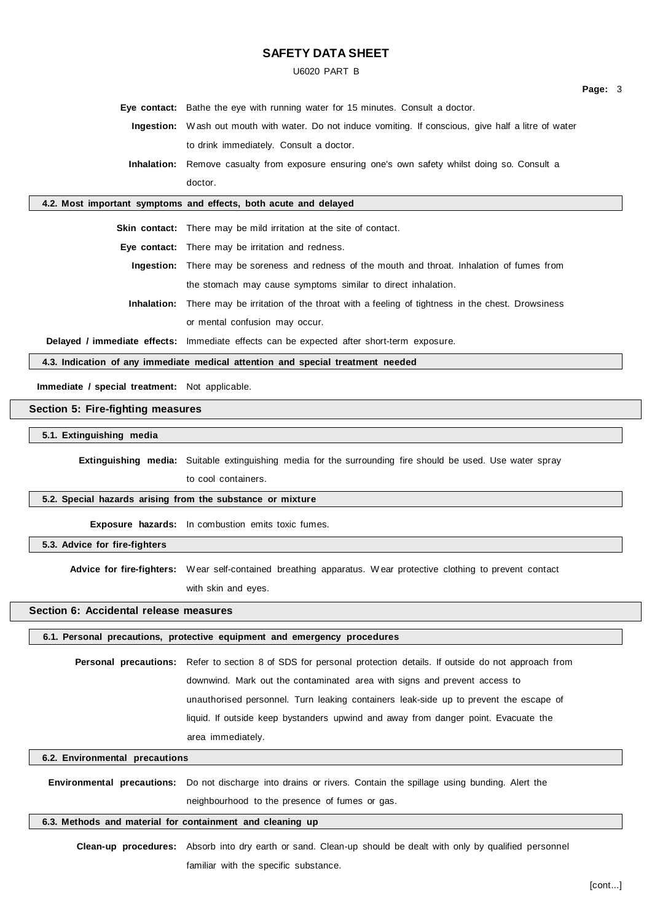U6020 PART B

**Page:** 3

**Eye contact:** Bathe the eye with running water for 15 minutes. Consult a doctor. **Ingestion:** W ash out mouth with water. Do not induce vomiting. If conscious, give half a litre of water to drink immediately. Consult a doctor.

**Inhalation:** Remove casualty from exposure ensuring one's own safety whilst doing so. Consult a doctor.

### **4.2. Most important symptoms and effects, both acute and delayed**

**Skin contact:** There may be mild irritation at the site of contact.

**Eye contact:** There may be irritation and redness.

**Ingestion:** There may be soreness and redness of the mouth and throat. Inhalation of fumes from the stomach may cause symptoms similar to direct inhalation.

**Inhalation:** There may be irritation of the throat with a feeling of tightness in the chest. Drowsiness or mental confusion may occur.

**Delayed / immediate effects:** Immediate effects can be expected after short-term exposure.

**4.3. Indication of any immediate medical attention and special treatment needed**

**Immediate / special treatment:** Not applicable.

## **Section 5: Fire-fighting measures**

**5.1. Extinguishing media**

**Extinguishing media:** Suitable extinguishing media for the surrounding fire should be used. Use water spray

to cool containers.

### **5.2. Special hazards arising from the substance or mixture**

**Exposure hazards:** In combustion emits toxic fumes.

**5.3. Advice for fire-fighters**

**Advice for fire-fighters:** Wear self-contained breathing apparatus. W ear protective clothing to prevent contact with skin and eyes.

## **Section 6: Accidental release measures**

### **6.1. Personal precautions, protective equipment and emergency procedures**

**Personal precautions:** Refer to section 8 of SDS for personal protection details. If outside do not approach from downwind. Mark out the contaminated area with signs and prevent access to unauthorised personnel. Turn leaking containers leak-side up to prevent the escape of liquid. If outside keep bystanders upwind and away from danger point. Evacuate the area immediately.

#### **6.2. Environmental precautions**

**Environmental precautions:** Do not discharge into drains or rivers. Contain the spillage using bunding. Alert the neighbourhood to the presence of fumes or gas.

#### **6.3. Methods and material for containment and cleaning up**

**Clean-up procedures:** Absorb into dry earth or sand. Clean-up should be dealt with only by qualified personnel familiar with the specific substance.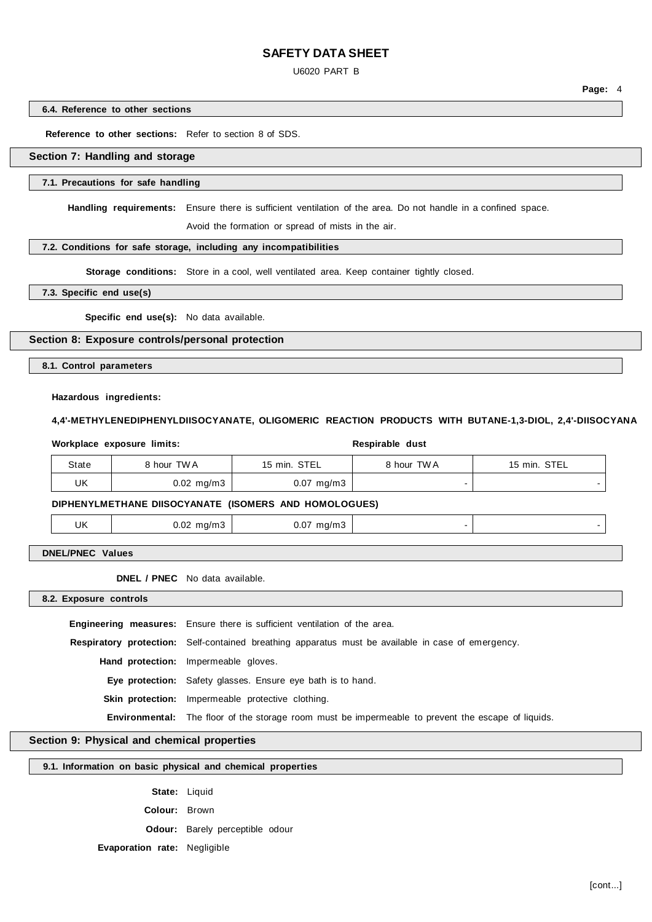U6020 PART B

**Page:** 4

**6.4. Reference to other sections**

**Reference to other sections:** Refer to section 8 of SDS.

### **Section 7: Handling and storage**

#### **7.1. Precautions for safe handling**

**Handling requirements:** Ensure there is sufficient ventilation of the area. Do not handle in a confined space.

Avoid the formation or spread of mists in the air.

## **7.2. Conditions for safe storage, including any incompatibilities**

Storage conditions: Store in a cool, well ventilated area. Keep container tightly closed.

**7.3. Specific end use(s)**

**Specific end use(s):** No data available.

#### **Section 8: Exposure controls/personal protection**

**8.1. Control parameters**

#### **Hazardous ingredients:**

#### **4,4'-METHYLENEDIPHENYLDIISOCYANATE, OLIGOMERIC REACTION PRODUCTS WITH BUTANE-1,3-DIOL, 2,4'-DIISOCYANA**

|       | Workplace exposure limits: |                         | Respirable dust |              |
|-------|----------------------------|-------------------------|-----------------|--------------|
| State | 8 hour TWA                 | 15 min. STEL            | 8 hour TWA      | 15 min. STEL |
| UK    | $0.02 \,$ mg/m $3 \,$      | $0.07 \, \text{mg/m}$ 3 |                 |              |

#### **DIPHENYLMETHANE DIISOCYANATE (ISOMERS AND HOMOLOGUES)**

| UK | $0.02$ mg/m3 | $0.07$ mg/m3<br>ີ |  |
|----|--------------|-------------------|--|
|    |              |                   |  |

**DNEL/PNEC Values**

**DNEL / PNEC** No data available.

**8.2. Exposure controls**

**Engineering measures:** Ensure there is sufficient ventilation of the area.

**Respiratory protection:** Self-contained breathing apparatus must be available in case of emergency.

**Hand protection:** Impermeable gloves.

**Eye protection:** Safety glasses. Ensure eye bath is to hand.

**Skin protection:** Impermeable protective clothing.

**Environmental:** The floor of the storage room must be impermeable to prevent the escape of liquids.

### **Section 9: Physical and chemical properties**

### **9.1. Information on basic physical and chemical properties**

**State:** Liquid

**Colour:** Brown

**Odour:** Barely perceptible odour

## **Evaporation rate:** Negligible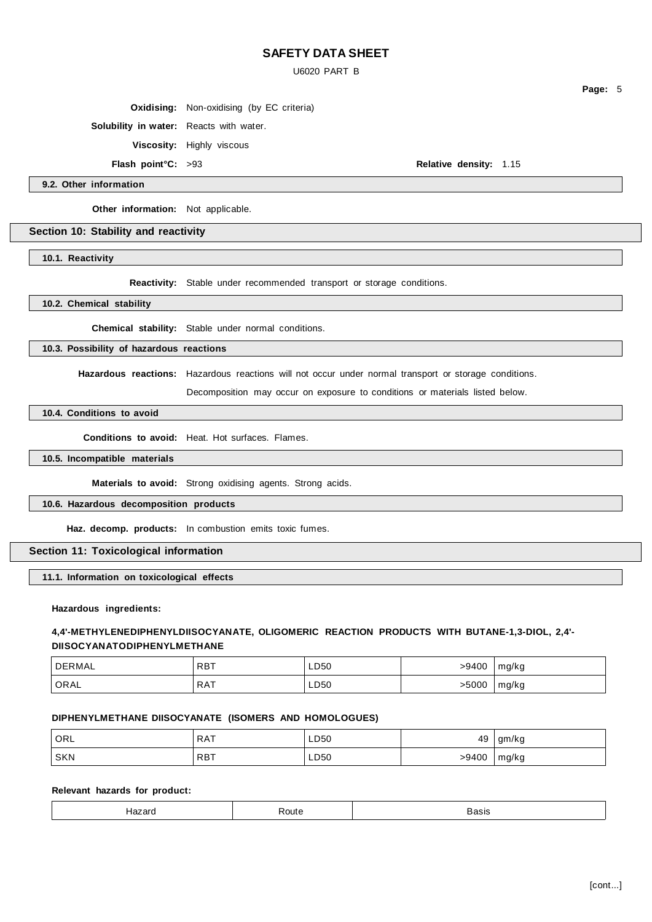U6020 PART B

**Oxidising:** Non-oxidising (by EC criteria)

**Solubility in water:** Reacts with water.

**Viscosity:** Highly viscous

**Flash point°C:** >93 **Relative density:** 1.15

**Page:** 5

**9.2. Other information**

**Other information:** Not applicable.

### **Section 10: Stability and reactivity**

**10.1. Reactivity**

**Reactivity:** Stable under recommended transport or storage conditions.

**10.2. Chemical stability**

**Chemical stability:** Stable under normal conditions.

#### **10.3. Possibility of hazardous reactions**

**Hazardous reactions:** Hazardous reactions will not occur under normal transport or storage conditions.

Decomposition may occur on exposure to conditions or materials listed below.

### **10.4. Conditions to avoid**

**Conditions to avoid:** Heat. Hot surfaces. Flames.

**10.5. Incompatible materials**

**Materials to avoid:** Strong oxidising agents. Strong acids.

### **10.6. Hazardous decomposition products**

**Haz. decomp. products:** In combustion emits toxic fumes.

### **Section 11: Toxicological information**

#### **11.1. Information on toxicological effects**

**Hazardous ingredients:**

### **4,4'-METHYLENEDIPHENYLDIISOCYANATE, OLIGOMERIC REACTION PRODUCTS WITH BUTANE-1,3-DIOL, 2,4'- DIISOCYANATODIPHENYLMETHANE**

| DERMAL | <b>RBT</b> | LD50 | -9400 | ma/ka<br>ີ |
|--------|------------|------|-------|------------|
| ORAL   | <b>RAT</b> | LD50 | .5000 | ma/ka<br>◡ |

### **DIPHENYLMETHANE DIISOCYANATE (ISOMERS AND HOMOLOGUES)**

| <b>ORL</b> | <b>RAT</b> | LD50<br>__ | 49    | gm/kg |
|------------|------------|------------|-------|-------|
| SKN        | <b>RBT</b> | LD50       | >9400 | mg/kg |

### **Relevant hazards for product:**

| ю<br>. | זו ר<br>. | Daois |
|--------|-----------|-------|
|--------|-----------|-------|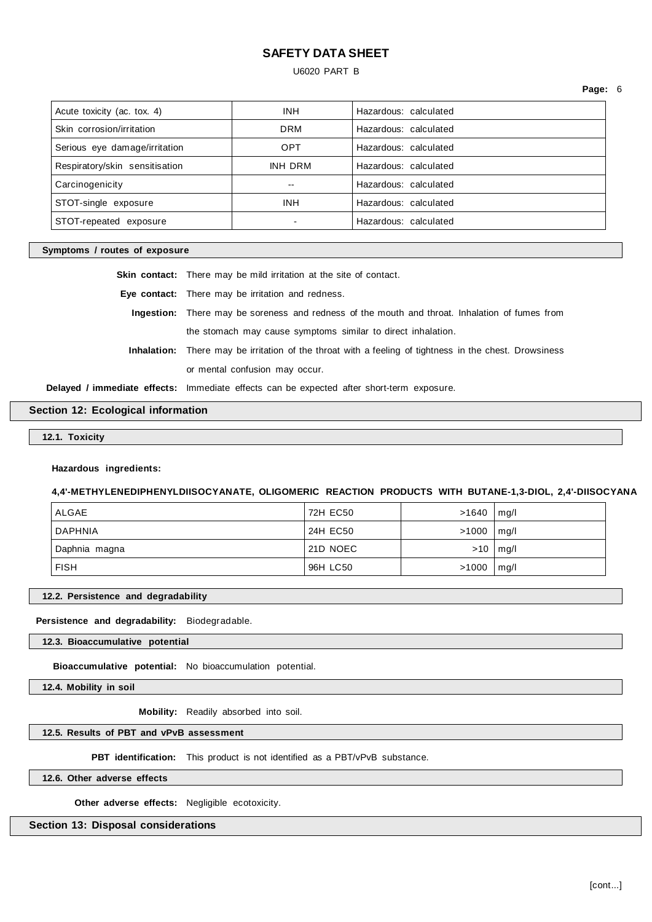### U6020 PART B

**Page:** 6

| Acute toxicity (ac. tox. 4)    | <b>INH</b>     | Hazardous: calculated |
|--------------------------------|----------------|-----------------------|
| Skin corrosion/irritation      | <b>DRM</b>     | Hazardous: calculated |
| Serious eye damage/irritation  | <b>OPT</b>     | Hazardous: calculated |
| Respiratory/skin sensitisation | <b>INH DRM</b> | Hazardous: calculated |
| Carcinogenicity                | --             | Hazardous: calculated |
| STOT-single exposure           | <b>INH</b>     | Hazardous: calculated |
| STOT-repeated exposure         |                | Hazardous: calculated |
|                                |                |                       |

### **Symptoms / routes of exposure**

**Skin contact:** There may be mild irritation at the site of contact.

**Eye contact:** There may be irritation and redness.

**Ingestion:** There may be soreness and redness of the mouth and throat. Inhalation of fumes from the stomach may cause symptoms similar to direct inhalation.

**Inhalation:** There may be irritation of the throat with a feeling of tightness in the chest. Drowsiness or mental confusion may occur.

**Delayed / immediate effects:** Immediate effects can be expected after short-term exposure.

## **Section 12: Ecological information**

**12.1. Toxicity**

### **Hazardous ingredients:**

#### **4,4'-METHYLENEDIPHENYLDIISOCYANATE, OLIGOMERIC REACTION PRODUCTS WITH BUTANE-1,3-DIOL, 2,4'-DIISOCYANA**

| ALGAE         | 72H EC50 | $>1640$   mg/l |              |
|---------------|----------|----------------|--------------|
| DAPHNIA       | 24H EC50 | $>1000$   mg/l |              |
| Daphnia magna | 21D NOEC |                | $>10$   mg/l |
| <b>FISH</b>   | 96H LC50 | $>1000$   mg/l |              |

#### **12.2. Persistence and degradability**

**Persistence and degradability:** Biodegradable.

**12.3. Bioaccumulative potential**

**Bioaccumulative potential:** No bioaccumulation potential.

**12.4. Mobility in soil**

**Mobility:** Readily absorbed into soil.

### **12.5. Results of PBT and vPvB assessment**

**PBT identification:** This product is not identified as a PBT/vPvB substance.

**12.6. Other adverse effects**

**Other adverse effects:** Negligible ecotoxicity.

## **Section 13: Disposal considerations**